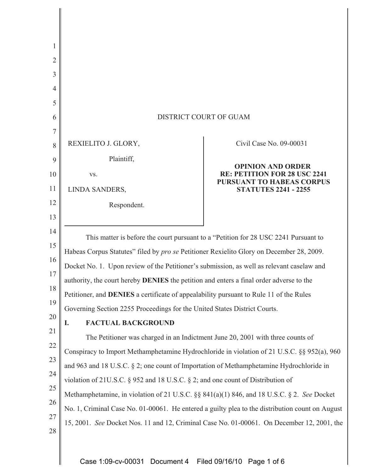| 1              |                                                                                                 |                                                                  |
|----------------|-------------------------------------------------------------------------------------------------|------------------------------------------------------------------|
| $\overline{2}$ |                                                                                                 |                                                                  |
| 3              |                                                                                                 |                                                                  |
| 4              |                                                                                                 |                                                                  |
| 5              |                                                                                                 |                                                                  |
| 6              | DISTRICT COURT OF GUAM                                                                          |                                                                  |
| 7              |                                                                                                 |                                                                  |
| 8              | REXIELITO J. GLORY,                                                                             | Civil Case No. 09-00031                                          |
| 9              | Plaintiff,                                                                                      | <b>OPINION AND ORDER</b>                                         |
| 10             | VS.                                                                                             | RE: PETITION FOR 28 USC 2241<br><b>PURSUANT TO HABEAS CORPUS</b> |
| 11             | LINDA SANDERS,                                                                                  | <b>STATUTES 2241 - 2255</b>                                      |
| 12             | Respondent.                                                                                     |                                                                  |
| 13             |                                                                                                 |                                                                  |
| 14             | This matter is before the court pursuant to a "Petition for 28 USC 2241 Pursuant to             |                                                                  |
| 15             | Habeas Corpus Statutes" filed by pro se Petitioner Rexielito Glory on December 28, 2009.        |                                                                  |
| 16             | Docket No. 1. Upon review of the Petitioner's submission, as well as relevant caselaw and       |                                                                  |
| 17             | authority, the court hereby <b>DENIES</b> the petition and enters a final order adverse to the  |                                                                  |
| 18             | Petitioner, and <b>DENIES</b> a certificate of appealability pursuant to Rule 11 of the Rules   |                                                                  |
| 19             | Governing Section 2255 Proceedings for the United States District Courts.                       |                                                                  |
| 20             | <b>FACTUAL BACKGROUND</b><br>I.                                                                 |                                                                  |
| 21<br>22       | The Petitioner was charged in an Indictment June 20, 2001 with three counts of                  |                                                                  |
| 23             | Conspiracy to Import Methamphetamine Hydrochloride in violation of 21 U.S.C. §§ 952(a), 960     |                                                                  |
| 24             | and 963 and 18 U.S.C. § 2; one count of Importation of Methamphetamine Hydrochloride in         |                                                                  |
| 25             | violation of 21U.S.C. $\S$ 952 and 18 U.S.C. $\S$ 2; and one count of Distribution of           |                                                                  |
| 26             | Methamphetamine, in violation of 21 U.S.C. §§ 841(a)(1) 846, and 18 U.S.C. § 2. See Docket      |                                                                  |
| 27             | No. 1, Criminal Case No. 01-00061. He entered a guilty plea to the distribution count on August |                                                                  |
| 28             | 15, 2001. See Docket Nos. 11 and 12, Criminal Case No. 01-00061. On December 12, 2001, the      |                                                                  |
|                |                                                                                                 |                                                                  |
|                |                                                                                                 |                                                                  |

Case 1:09-cv-00031 Document 4 Filed 09/16/10 Page 1 of 6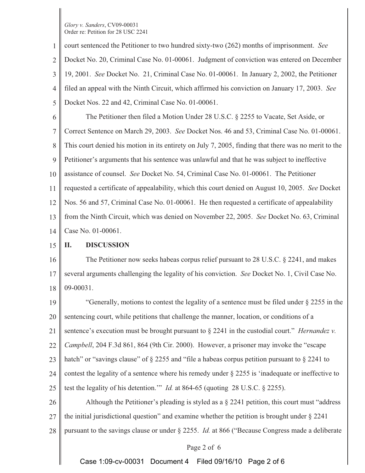1 2 3 4 5 court sentenced the Petitioner to two hundred sixty-two (262) months of imprisonment. *See* Docket No. 20, Criminal Case No. 01-00061. Judgment of conviction was entered on December 19, 2001. *See* Docket No. 21, Criminal Case No. 01-00061. In January 2, 2002, the Petitioner filed an appeal with the Ninth Circuit, which affirmed his conviction on January 17, 2003. *See* Docket Nos. 22 and 42, Criminal Case No. 01-00061.

6 7 8 9 10 11 12 13 14 The Petitioner then filed a Motion Under 28 U.S.C. § 2255 to Vacate, Set Aside, or Correct Sentence on March 29, 2003. *See* Docket Nos. 46 and 53, Criminal Case No. 01-00061. This court denied his motion in its entirety on July 7, 2005, finding that there was no merit to the Petitioner's arguments that his sentence was unlawful and that he was subject to ineffective assistance of counsel. *See* Docket No. 54, Criminal Case No. 01-00061. The Petitioner requested a certificate of appealability, which this court denied on August 10, 2005. *See* Docket Nos. 56 and 57, Criminal Case No. 01-00061. He then requested a certificate of appealability from the Ninth Circuit, which was denied on November 22, 2005. *See* Docket No. 63, Criminal Case No. 01-00061.

#### 15 **II. DISCUSSION**

16 17 18 The Petitioner now seeks habeas corpus relief pursuant to 28 U.S.C. § 2241, and makes several arguments challenging the legality of his conviction. *See* Docket No. 1, Civil Case No. 09-00031.

19 20 21 22 23 24 25 "Generally, motions to contest the legality of a sentence must be filed under  $\S$  2255 in the sentencing court, while petitions that challenge the manner, location, or conditions of a sentence's execution must be brought pursuant to § 2241 in the custodial court." *Hernandez v. Campbell*, 204 F.3d 861, 864 (9th Cir. 2000). However, a prisoner may invoke the "escape hatch" or "savings clause" of § 2255 and "file a habeas corpus petition pursuant to § 2241 to contest the legality of a sentence where his remedy under § 2255 is 'inadequate or ineffective to test the legality of his detention.'" *Id.* at 864-65 (quoting 28 U.S.C. § 2255).

26 27 Although the Petitioner's pleading is styled as a § 2241 petition, this court must "address the initial jurisdictional question" and examine whether the petition is brought under  $\S 2241$ 

28 pursuant to the savings clause or under § 2255. *Id.* at 866 ("Because Congress made a deliberate

# Page 2 of 6

Case 1:09-cv-00031 Document 4 Filed 09/16/10 Page 2 of 6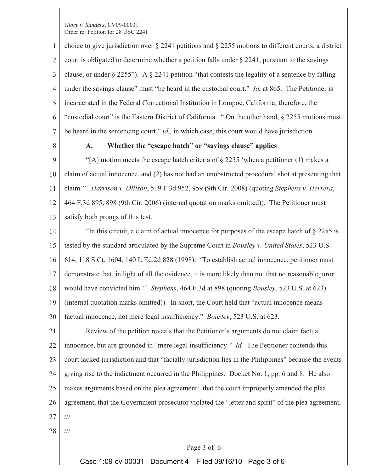1 2 3 4 5 6 7 choice to give jurisdiction over § 2241 petitions and § 2255 motions to different courts, a district court is obligated to determine whether a petition falls under § 2241, pursuant to the savings clause, or under  $\S 2255$ "). A  $\S 2241$  petition "that contests the legality of a sentence by falling under the savings clause" must "be heard in the custodial court." *Id.* at 865. The Petitioner is incarcerated in the Federal Correctional Institution in Lompoc, California; therefore, the "custodial court" is the Eastern District of California. " On the other hand, § 2255 motions must be heard in the sentencing court," *id.*, in which case, this court would have jurisdiction.

8

# **A. Whether the "escape hatch" or "savings clause" applies**

9 10 11 12 13 "[A] motion meets the escape hatch criteria of  $\S 2255$  'when a petitioner (1) makes a claim of actual innocence, and (2) has not had an unobstructed procedural shot at presenting that claim.'" *Harrison v. Ollison*, 519 F.3d 952, 959 (9th Cir. 2008) (quoting *Stephens v. Herrera*, 464 F.3d 895, 898 (9th Cir. 2006) (internal quotation marks omitted)). The Petitioner must satisfy both prongs of this test.

14 15 16 17 18 19 20 "In this circuit, a claim of actual innocence for purposes of the escape hatch of § 2255 is tested by the standard articulated by the Supreme Court in *Bousley v. United States*, 523 U.S. 614, 118 S.Ct. 1604, 140 L.Ed.2d 828 (1998): 'To establish actual innocence, petitioner must demonstrate that, in light of all the evidence, it is more likely than not that no reasonable juror would have convicted him.'" *Stephens*, 464 F.3d at 898 (quoting *Bousley*, 523 U.S. at 623) (internal quotation marks omitted)). In short, the Court held that "actual innocence means factual innocence, not mere legal insufficiency." *Bousley*, 523 U.S. at 623.

21 22 23 24 25 26 27 Review of the petition reveals that the Petitioner's arguments do not claim factual innocence, but are grounded in "mere legal insufficiency." *Id.* The Petitioner contends this court lacked jurisdiction and that "facially jurisdiction lies in the Philippines" because the events giving rise to the indictment occurred in the Philippines. Docket No. 1, pp. 6 and 8. He also makes arguments based on the plea agreement: that the court improperly amended the plea agreement, that the Government prosecutor violated the "letter and spirit" of the plea agreement, ///

28

///

# Page 3 of 6

Case 1:09-cv-00031 Document 4 Filed 09/16/10 Page 3 of 6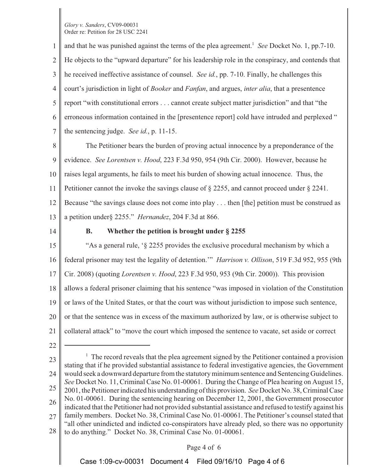1 2 3 4 5 6 7 and that he was punished against the terms of the plea agreement.<sup>1</sup> *See* Docket No. 1, pp.7-10. He objects to the "upward departure" for his leadership role in the conspiracy, and contends that he received ineffective assistance of counsel. *See id.*, pp. 7-10. Finally, he challenges this court's jurisdiction in light of *Booker* and *Fanfan*, and argues, *inter alia*, that a presentence report "with constitutional errors . . . cannot create subject matter jurisdiction" and that "the erroneous information contained in the [presentence report] cold have intruded and perplexed " the sentencing judge. *See id.*, p. 11-15.

8 9 10 11 12 13 The Petitioner bears the burden of proving actual innocence by a preponderance of the evidence. *See Lorentsen v. Hood*, 223 F.3d 950, 954 (9th Cir. 2000). However, because he raises legal arguments, he fails to meet his burden of showing actual innocence. Thus, the Petitioner cannot the invoke the savings clause of § 2255, and cannot proceed under § 2241. Because "the savings clause does not come into play . . . then [the] petition must be construed as a petition under§ 2255." *Hernandez*, 204 F.3d at 866.

14

## **B. Whether the petition is brought under § 2255**

15 16 17 18 19 20 21 "As a general rule, '§ 2255 provides the exclusive procedural mechanism by which a federal prisoner may test the legality of detention.'" *Harrison v. Ollison*, 519 F.3d 952, 955 (9th Cir. 2008) (quoting *Lorentsen v. Hood*, 223 F.3d 950, 953 (9th Cir. 2000)). This provision allows a federal prisoner claiming that his sentence "was imposed in violation of the Constitution or laws of the United States, or that the court was without jurisdiction to impose such sentence, or that the sentence was in excess of the maximum authorized by law, or is otherwise subject to collateral attack" to "move the court which imposed the sentence to vacate, set aside or correct

22

23 24 25 26 27 28 <sup>1</sup> The record reveals that the plea agreement signed by the Petitioner contained a provision stating that if he provided substantial assistance to federal investigative agencies, the Government would seek a downward departure from the statutory minimum sentence and Sentencing Guidelines. *See* Docket No. 11, Criminal Case No. 01-00061. During the Change of Plea hearing on August 15, 2001, the Petitioner indicated his understanding of this provision. *See* Docket No. 38, Criminal Case No. 01-00061. During the sentencing hearing on December 12, 2001, the Government prosecutor indicated that the Petitioner had not provided substantial assistance and refused to testify against his family members. Docket No. 38, Criminal Case No. 01-00061. The Petitioner's counsel stated that "all other unindicted and indicted co-conspirators have already pled, so there was no opportunity to do anything." Docket No. 38, Criminal Case No. 01-00061.

## Page 4 of 6

Case 1:09-cv-00031 Document 4 Filed 09/16/10 Page 4 of 6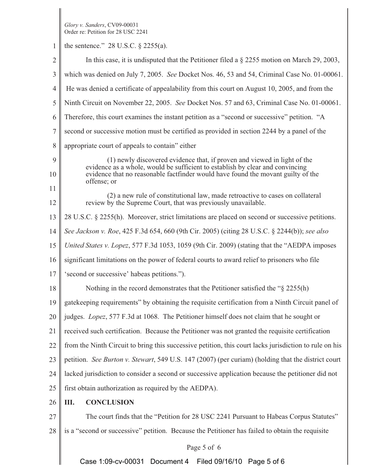1 2 3 4 5 6 7 8 9 10 11 12 13 14 15 16 17 18 19 20 21 22 23 24 25 26 27 28 Page 5 of 6 the sentence." 28 U.S.C. § 2255(a). In this case, it is undisputed that the Petitioner filed a § 2255 motion on March 29, 2003, which was denied on July 7, 2005. *See* Docket Nos. 46, 53 and 54, Criminal Case No. 01-00061. He was denied a certificate of appealability from this court on August 10, 2005, and from the Ninth Circuit on November 22, 2005. *See* Docket Nos. 57 and 63, Criminal Case No. 01-00061. Therefore, this court examines the instant petition as a "second or successive" petition. "A second or successive motion must be certified as provided in section 2244 by a panel of the appropriate court of appeals to contain" either (1) newly discovered evidence that, if proven and viewed in light of the evidence as a whole, would be sufficient to establish by clear and convincing evidence that no reasonable factfinder would have found the movant guilty of the offense; or (2) a new rule of constitutional law, made retroactive to cases on collateral review by the Supreme Court, that was previously unavailable. 28 U.S.C. § 2255(h). Moreover, strict limitations are placed on second or successive petitions. *See Jackson v. Roe*, 425 F.3d 654, 660 (9th Cir. 2005) (citing 28 U.S.C. § 2244(b)); *see also United States v. Lopez*, 577 F.3d 1053, 1059 (9th Cir. 2009) (stating that the "AEDPA imposes significant limitations on the power of federal courts to award relief to prisoners who file 'second or successive' habeas petitions."). Nothing in the record demonstrates that the Petitioner satisfied the "§ 2255(h) gatekeeping requirements" by obtaining the requisite certification from a Ninth Circuit panel of judges. *Lopez*, 577 F.3d at 1068. The Petitioner himself does not claim that he sought or received such certification. Because the Petitioner was not granted the requisite certification from the Ninth Circuit to bring this successive petition, this court lacks jurisdiction to rule on his petition. *See Burton v. Stewart*, 549 U.S. 147 (2007) (per curiam) (holding that the district court lacked jurisdiction to consider a second or successive application because the petitioner did not first obtain authorization as required by the AEDPA). **III. CONCLUSION** The court finds that the "Petition for 28 USC 2241 Pursuant to Habeas Corpus Statutes" is a "second or successive" petition. Because the Petitioner has failed to obtain the requisite Case 1:09-cv-00031 Document 4 Filed 09/16/10 Page 5 of 6